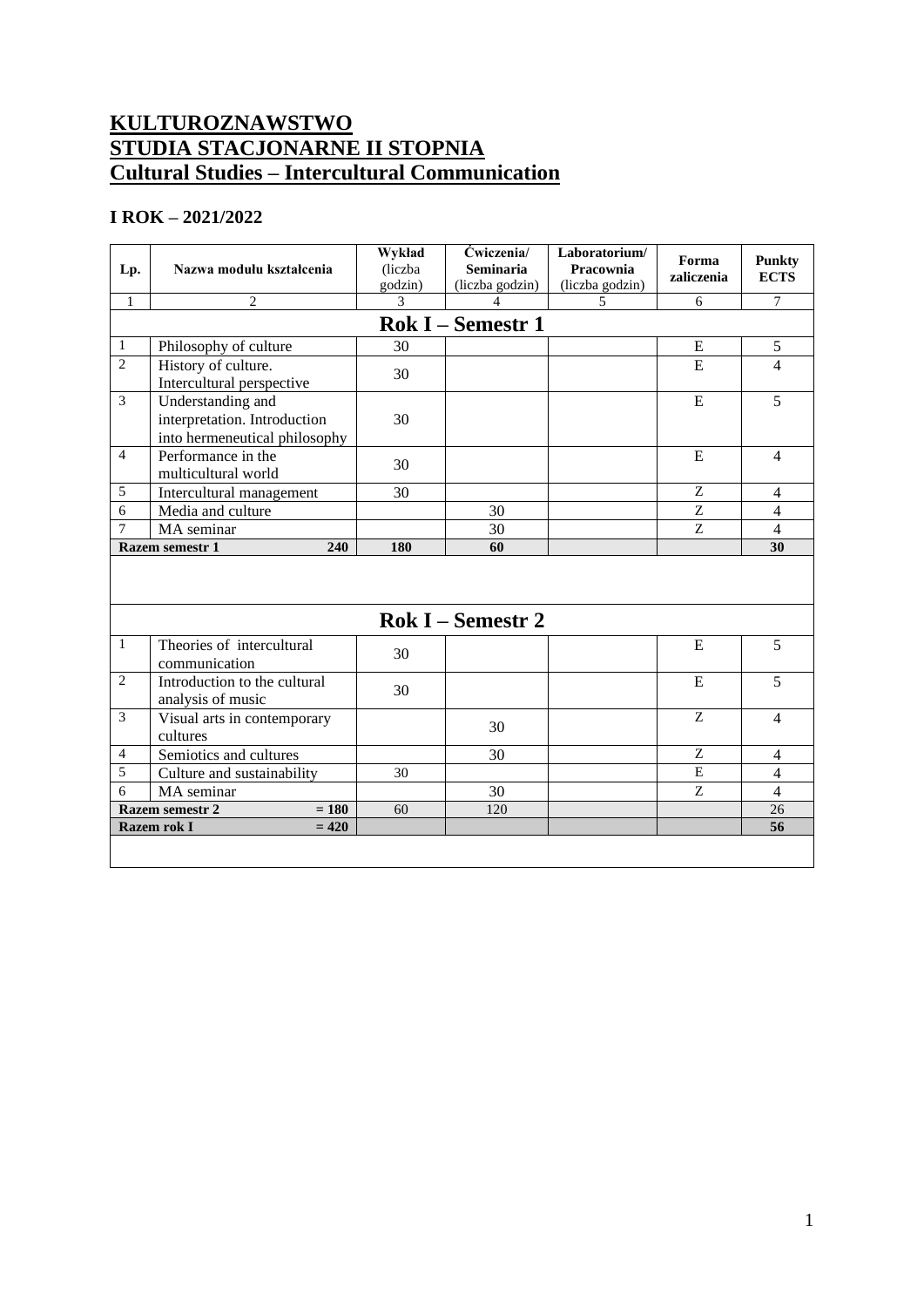## **KULTUROZNAWSTWO STUDIA STACJONARNE II STOPNIA Cultural Studies – Intercultural Communication**

## **I ROK – 2021/2022**

| Lp.                        | Nazwa modułu kształcenia                                                           | Wykład<br>(liczba<br>godzin) | Ćwiczenia/<br><b>Seminaria</b><br>(liczba godzin) | Laboratorium/<br>Pracownia<br>(liczba godzin) | Forma<br>zaliczenia       | <b>Punkty</b><br><b>ECTS</b> |  |
|----------------------------|------------------------------------------------------------------------------------|------------------------------|---------------------------------------------------|-----------------------------------------------|---------------------------|------------------------------|--|
| $\mathbf{1}$               | $\mathbf{2}$                                                                       | 3                            | 4                                                 | 5                                             | 6                         | $\tau$                       |  |
| <b>Rok I – Semestr 1</b>   |                                                                                    |                              |                                                   |                                               |                           |                              |  |
| 1                          | Philosophy of culture                                                              | 30                           |                                                   |                                               | Ε                         | $\sqrt{5}$                   |  |
| $\overline{2}$             | History of culture.<br>Intercultural perspective                                   | 30                           |                                                   |                                               | E                         | $\overline{4}$               |  |
| 3                          | Understanding and<br>interpretation. Introduction<br>into hermeneutical philosophy | 30                           |                                                   |                                               | E                         | 5                            |  |
| $\overline{4}$             | Performance in the<br>multicultural world                                          | 30                           |                                                   |                                               | E                         | $\overline{4}$               |  |
| 5                          | Intercultural management                                                           | 30                           |                                                   |                                               | Z                         | $\overline{4}$               |  |
| 6                          | Media and culture                                                                  |                              | 30                                                |                                               | $\ensuremath{\mathbf{Z}}$ | $\overline{4}$               |  |
| 7                          | MA seminar                                                                         |                              | 30                                                |                                               | Z                         | $\overline{4}$               |  |
|                            | 240<br><b>Razem semestr 1</b>                                                      | 180                          | 60                                                |                                               |                           | 30                           |  |
| <b>Rok I</b> – Semestr 2   |                                                                                    |                              |                                                   |                                               |                           |                              |  |
|                            |                                                                                    |                              |                                                   |                                               |                           |                              |  |
| $\mathbf{1}$               | Theories of intercultural<br>communication                                         | 30                           |                                                   |                                               | E                         | 5                            |  |
| $\overline{2}$             | Introduction to the cultural<br>analysis of music                                  | 30                           |                                                   |                                               | E                         | 5                            |  |
| 3                          | Visual arts in contemporary<br>cultures                                            |                              | 30                                                |                                               | Z                         | $\overline{\mathcal{A}}$     |  |
| 4                          | Semiotics and cultures                                                             |                              | 30                                                |                                               | $\rm{Z}$                  | 4                            |  |
| 5                          | Culture and sustainability                                                         | 30                           |                                                   |                                               | E                         | $\overline{4}$               |  |
| 6                          | MA seminar                                                                         |                              | 30                                                |                                               | Z                         | $\overline{4}$               |  |
| $= 180$<br>Razem semestr 2 |                                                                                    | 60                           | 120                                               |                                               |                           | 26                           |  |
|                            | Razem rok I<br>$= 420$                                                             |                              |                                                   |                                               |                           | 56                           |  |
|                            |                                                                                    |                              |                                                   |                                               |                           |                              |  |